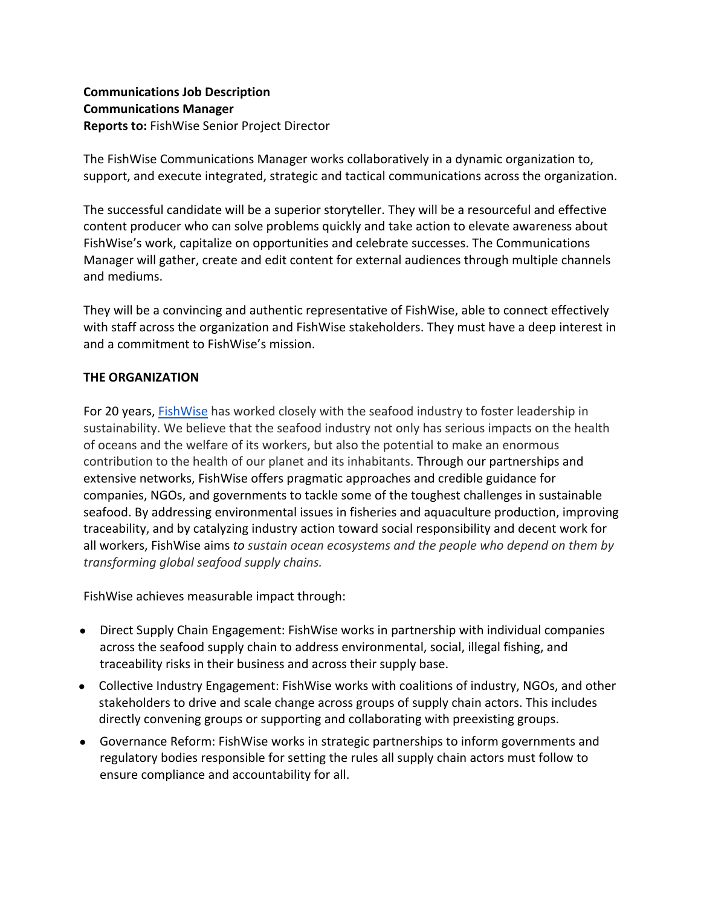# **Communications Job Description Communications Manager Reports to:** FishWise Senior Project Director

The FishWise Communications Manager works collaboratively in a dynamic organization to, support, and execute integrated, strategic and tactical communications across the organization.

The successful candidate will be a superior storyteller. They will be a resourceful and effective content producer who can solve problems quickly and take action to elevate awareness about FishWise's work, capitalize on opportunities and celebrate successes. The Communications Manager will gather, create and edit content for external audiences through multiple channels and mediums.

They will be a convincing and authentic representative of FishWise, able to connect effectively with staff across the organization and FishWise stakeholders. They must have a deep interest in and a commitment to FishWise's mission.

# **THE ORGANIZATION**

For 20 years, FishWise has worked closely with the seafood industry to foster leadership in sustainability. We believe that the seafood industry not only has serious impacts on the health of oceans and the welfare of its workers, but also the potential to make an enormous contribution to the health of our planet and its inhabitants. Through our partnerships and extensive networks, FishWise offers pragmatic approaches and credible guidance for companies, NGOs, and governments to tackle some of the toughest challenges in sustainable seafood. By addressing environmental issues in fisheries and aquaculture production, improving traceability, and by catalyzing industry action toward social responsibility and decent work for all workers, FishWise aims *to sustain ocean ecosystems and the people who depend on them by transforming global seafood supply chains.*

FishWise achieves measurable impact through:

- Direct Supply Chain Engagement: FishWise works in partnership with individual companies across the seafood supply chain to address environmental, social, illegal fishing, and traceability risks in their business and across their supply base.
- Collective Industry Engagement: FishWise works with coalitions of industry, NGOs, and other stakeholders to drive and scale change across groups of supply chain actors. This includes directly convening groups or supporting and collaborating with preexisting groups.
- Governance Reform: FishWise works in strategic partnerships to inform governments and regulatory bodies responsible for setting the rules all supply chain actors must follow to ensure compliance and accountability for all.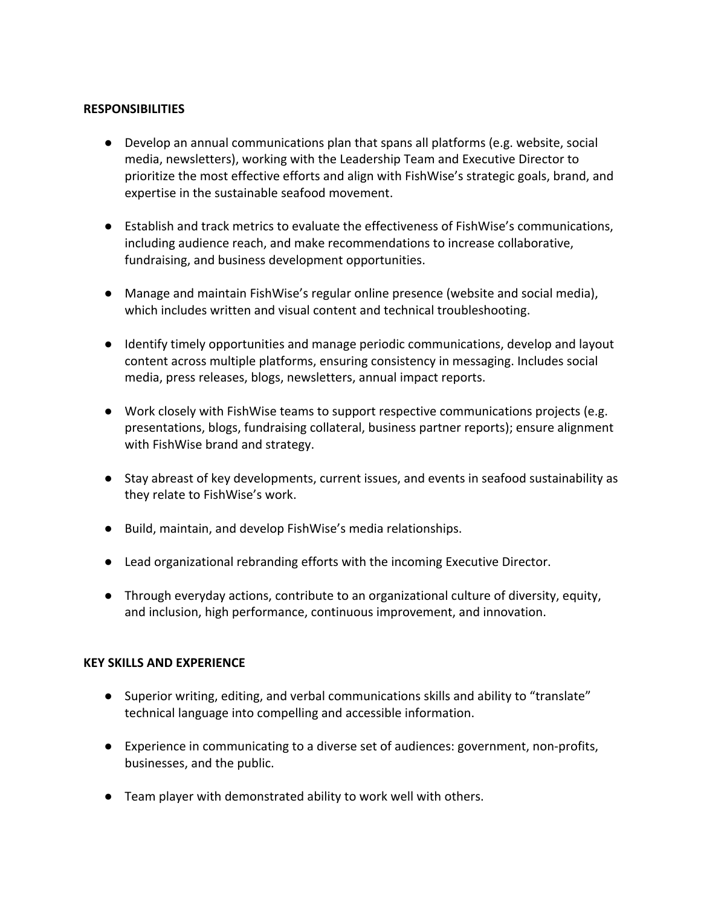### **RESPONSIBILITIES**

- Develop an annual communications plan that spans all platforms (e.g. website, social media, newsletters), working with the Leadership Team and Executive Director to prioritize the most effective efforts and align with FishWise's strategic goals, brand, and expertise in the sustainable seafood movement.
- Establish and track metrics to evaluate the effectiveness of FishWise's communications, including audience reach, and make recommendations to increase collaborative, fundraising, and business development opportunities.
- Manage and maintain FishWise's regular online presence (website and social media), which includes written and visual content and technical troubleshooting.
- Identify timely opportunities and manage periodic communications, develop and layout content across multiple platforms, ensuring consistency in messaging. Includes social media, press releases, blogs, newsletters, annual impact reports.
- Work closely with FishWise teams to support respective communications projects (e.g. presentations, blogs, fundraising collateral, business partner reports); ensure alignment with FishWise brand and strategy.
- Stay abreast of key developments, current issues, and events in seafood sustainability as they relate to FishWise's work.
- Build, maintain, and develop FishWise's media relationships.
- Lead organizational rebranding efforts with the incoming Executive Director.
- Through everyday actions, contribute to an organizational culture of diversity, equity, and inclusion, high performance, continuous improvement, and innovation.

#### **KEY SKILLS AND EXPERIENCE**

- Superior writing, editing, and verbal communications skills and ability to "translate" technical language into compelling and accessible information.
- Experience in communicating to a diverse set of audiences: government, non-profits, businesses, and the public.
- Team player with demonstrated ability to work well with others.